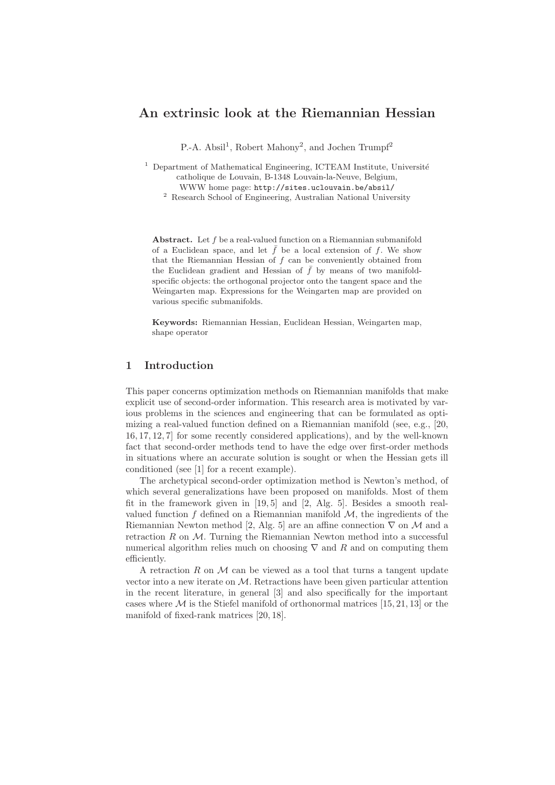# An extrinsic look at the Riemannian Hessian

P.-A. Absil<sup>1</sup>, Robert Mahony<sup>2</sup>, and Jochen Trumpf<sup>2</sup>

 $1$  Department of Mathematical Engineering, ICTEAM Institute, Université catholique de Louvain, B-1348 Louvain-la-Neuve, Belgium, WWW home page: http://sites.uclouvain.be/absil/

 $^{\rm 2}$  Research School of Engineering, Australian National University

Abstract. Let f be a real-valued function on a Riemannian submanifold of a Euclidean space, and let  $\bar{f}$  be a local extension of f. We show that the Riemannian Hessian of  $f$  can be conveniently obtained from the Euclidean gradient and Hessian of  $\bar{f}$  by means of two manifoldspecific objects: the orthogonal projector onto the tangent space and the Weingarten map. Expressions for the Weingarten map are provided on various specific submanifolds.

Keywords: Riemannian Hessian, Euclidean Hessian, Weingarten map, shape operator

# 1 Introduction

This paper concerns optimization methods on Riemannian manifolds that make explicit use of second-order information. This research area is motivated by various problems in the sciences and engineering that can be formulated as optimizing a real-valued function defined on a Riemannian manifold (see, e.g., [20, 16, 17, 12, 7] for some recently considered applications), and by the well-known fact that second-order methods tend to have the edge over first-order methods in situations where an accurate solution is sought or when the Hessian gets ill conditioned (see [1] for a recent example).

The archetypical second-order optimization method is Newton's method, of which several generalizations have been proposed on manifolds. Most of them fit in the framework given in [19, 5] and [2, Alg. 5]. Besides a smooth realvalued function  $f$  defined on a Riemannian manifold  $M$ , the ingredients of the Riemannian Newton method [2, Alg. 5] are an affine connection  $\nabla$  on M and a retraction  $R$  on  $M$ . Turning the Riemannian Newton method into a successful numerical algorithm relies much on choosing  $\nabla$  and R and on computing them efficiently.

A retraction  $R$  on  $M$  can be viewed as a tool that turns a tangent update vector into a new iterate on M. Retractions have been given particular attention in the recent literature, in general [3] and also specifically for the important cases where  $\mathcal M$  is the Stiefel manifold of orthonormal matrices [15, 21, 13] or the manifold of fixed-rank matrices [20, 18].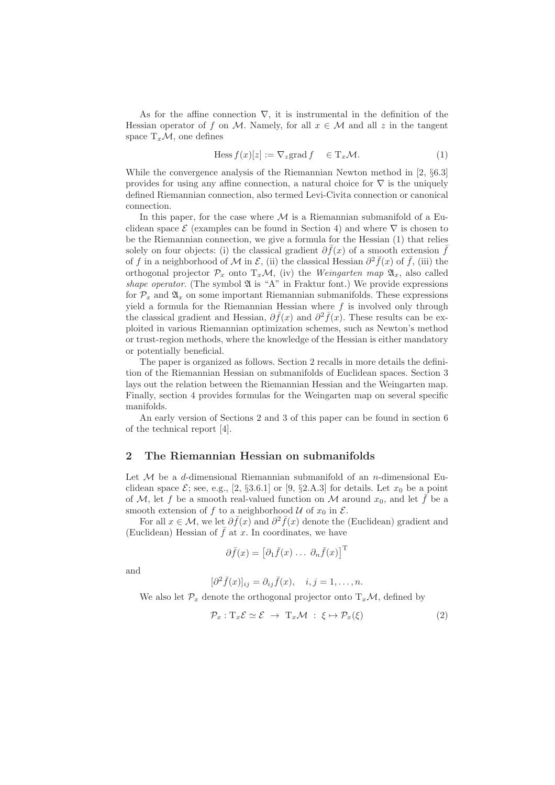As for the affine connection  $\nabla$ , it is instrumental in the definition of the Hessian operator of f on M. Namely, for all  $x \in M$  and all z in the tangent space  $T_xM$ , one defines

$$
\text{Hess}\, f(x)[z] := \nabla_z \text{grad}\, f \quad \in \mathcal{T}_x \mathcal{M}.\tag{1}
$$

While the convergence analysis of the Riemannian Newton method in [2, §6.3] provides for using any affine connection, a natural choice for  $\nabla$  is the uniquely defined Riemannian connection, also termed Levi-Civita connection or canonical connection.

In this paper, for the case where  $\mathcal M$  is a Riemannian submanifold of a Euclidean space  $\mathcal E$  (examples can be found in Section 4) and where  $\nabla$  is chosen to be the Riemannian connection, we give a formula for the Hessian (1) that relies solely on four objects: (i) the classical gradient  $\partial f(x)$  of a smooth extension  $\bar{f}$ of f in a neighborhood of M in  $\mathcal{E}$ , (ii) the classical Hessian  $\partial^2 \bar{f}(x)$  of  $\bar{f}$ , (iii) the orthogonal projector  $\mathcal{P}_x$  onto  $T_x\mathcal{M}$ , (iv) the Weingarten map  $\mathfrak{A}_x$ , also called shape operator. (The symbol  $\mathfrak A$  is "A" in Fraktur font.) We provide expressions for  $\mathcal{P}_x$  and  $\mathfrak{A}_x$  on some important Riemannian submanifolds. These expressions yield a formula for the Riemannian Hessian where  $f$  is involved only through the classical gradient and Hessian,  $\partial \bar{f}(x)$  and  $\partial^2 \bar{f}(x)$ . These results can be exploited in various Riemannian optimization schemes, such as Newton's method or trust-region methods, where the knowledge of the Hessian is either mandatory or potentially beneficial.

The paper is organized as follows. Section 2 recalls in more details the definition of the Riemannian Hessian on submanifolds of Euclidean spaces. Section 3 lays out the relation between the Riemannian Hessian and the Weingarten map. Finally, section 4 provides formulas for the Weingarten map on several specific manifolds.

An early version of Sections 2 and 3 of this paper can be found in section 6 of the technical report [4].

### 2 The Riemannian Hessian on submanifolds

Let  $M$  be a d-dimensional Riemannian submanifold of an *n*-dimensional Euclidean space  $\mathcal{E}$ ; see, e.g., [2, §3.6.1] or [9, §2.A.3] for details. Let  $x_0$  be a point of M, let f be a smooth real-valued function on M around  $x_0$ , and let f be a smooth extension of f to a neighborhood  $\mathcal U$  of  $x_0$  in  $\mathcal E$ .

For all  $x \in \mathcal{M}$ , we let  $\partial \bar{f}(x)$  and  $\partial^2 \bar{f}(x)$  denote the (Euclidean) gradient and (Euclidean) Hessian of  $\bar{f}$  at x. In coordinates, we have

$$
\partial \bar{f}(x) = \left[\partial_1 \bar{f}(x) \dots \partial_n \bar{f}(x)\right]^{\mathrm{T}}
$$

and

$$
[\partial^2 \bar{f}(x)]_{ij} = \partial_{ij} \bar{f}(x), \quad i, j = 1, \dots, n.
$$

We also let  $\mathcal{P}_x$  denote the orthogonal projector onto  $T_x\mathcal{M}$ , defined by

$$
\mathcal{P}_x: \mathrm{T}_x \mathcal{E} \simeq \mathcal{E} \to \mathrm{T}_x \mathcal{M} : \xi \mapsto \mathcal{P}_x(\xi) \tag{2}
$$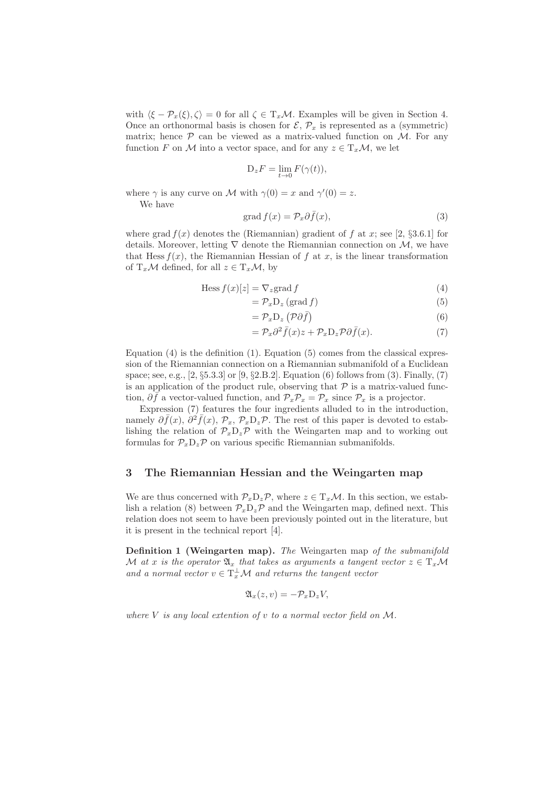with  $\langle \xi - \mathcal{P}_x(\xi), \zeta \rangle = 0$  for all  $\zeta \in T_x\mathcal{M}$ . Examples will be given in Section 4. Once an orthonormal basis is chosen for  $\mathcal{E}, \mathcal{P}_x$  is represented as a (symmetric) matrix; hence  $P$  can be viewed as a matrix-valued function on  $M$ . For any function F on M into a vector space, and for any  $z \in T_x\mathcal{M}$ , we let

$$
D_z F = \lim_{t \to 0} F(\gamma(t)),
$$

where  $\gamma$  is any curve on M with  $\gamma(0) = x$  and  $\gamma'(0) = z$ .

We have

$$
\operatorname{grad} f(x) = \mathcal{P}_x \partial \bar{f}(x),\tag{3}
$$

where grad  $f(x)$  denotes the (Riemannian) gradient of f at x; see [2, §3.6.1] for details. Moreover, letting  $\nabla$  denote the Riemannian connection on M, we have that Hess  $f(x)$ , the Riemannian Hessian of f at x, is the linear transformation of  $T_x\mathcal{M}$  defined, for all  $z \in T_x\mathcal{M}$ , by

$$
\text{Hess } f(x)[z] = \nabla_z \text{grad } f \tag{4}
$$

$$
=\mathcal{P}_x \mathcal{D}_z \left(\text{grad } f\right) \tag{5}
$$

$$
=\mathcal{P}_x \mathcal{D}_z \left(\mathcal{P}\partial \bar{f}\right) \tag{6}
$$

$$
= \mathcal{P}_x \partial^2 \bar{f}(x) z + \mathcal{P}_x D_z \mathcal{P} \partial \bar{f}(x). \tag{7}
$$

Equation (4) is the definition (1). Equation (5) comes from the classical expression of the Riemannian connection on a Riemannian submanifold of a Euclidean space; see, e.g., [2, §5.3.3] or [9, §2.B.2]. Equation (6) follows from (3). Finally, (7) is an application of the product rule, observing that  $P$  is a matrix-valued function,  $\partial \bar{f}$  a vector-valued function, and  $\mathcal{P}_x \mathcal{P}_x = \mathcal{P}_x$  since  $\mathcal{P}_x$  is a projector.

Expression (7) features the four ingredients alluded to in the introduction, namely  $\partial \bar{f}(x)$ ,  $\partial^2 \bar{f}(x)$ ,  $\mathcal{P}_x$ ,  $\mathcal{P}_x D_z \mathcal{P}$ . The rest of this paper is devoted to establishing the relation of  $\mathcal{P}_x D_z \mathcal{P}$  with the Weingarten map and to working out formulas for  $P_xD_zP$  on various specific Riemannian submanifolds.

## 3 The Riemannian Hessian and the Weingarten map

We are thus concerned with  $\mathcal{P}_x D_z \mathcal{P}$ , where  $z \in T_x \mathcal{M}$ . In this section, we establish a relation (8) between  $\mathcal{P}_x D_z \mathcal{P}$  and the Weingarten map, defined next. This relation does not seem to have been previously pointed out in the literature, but it is present in the technical report [4].

**Definition 1 (Weingarten map).** The Weingarten map of the submanifold M at x is the operator  $\mathfrak{A}_x$  that takes as arguments a tangent vector  $z \in T_x\mathcal{M}$ and a normal vector  $v \in T_x^{\perp} \mathcal{M}$  and returns the tangent vector

$$
\mathfrak{A}_x(z,v) = -\mathcal{P}_x \mathcal{D}_z V,
$$

where  $V$  is any local extention of  $v$  to a normal vector field on  $M$ .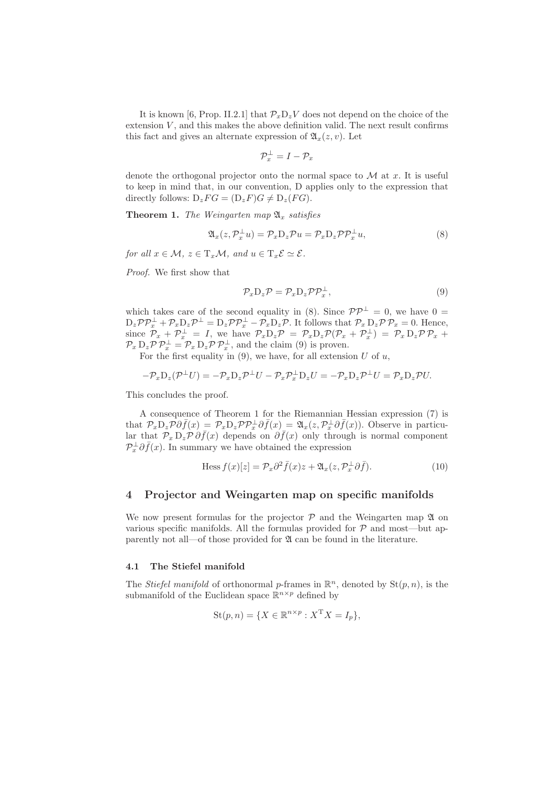It is known [6, Prop. II.2.1] that  $\mathcal{P}_x D_z V$  does not depend on the choice of the extension  $V$ , and this makes the above definition valid. The next result confirms this fact and gives an alternate expression of  $\mathfrak{A}_x(z, v)$ . Let

$$
\mathcal{P}_x^\perp = I - \mathcal{P}_x
$$

denote the orthogonal projector onto the normal space to  $\mathcal M$  at x. It is useful to keep in mind that, in our convention, D applies only to the expression that directly follows:  $D_zFG = (D_zF)G \neq D_z(FG)$ .

**Theorem 1.** The Weingarten map  $\mathfrak{A}_x$  satisfies

$$
\mathfrak{A}_x(z, \mathcal{P}_x^{\perp} u) = \mathcal{P}_x D_z \mathcal{P} u = \mathcal{P}_x D_z \mathcal{P} \mathcal{P}_x^{\perp} u,\tag{8}
$$

for all  $x \in \mathcal{M}, z \in T_x\mathcal{M},$  and  $u \in T_x\mathcal{E} \simeq \mathcal{E}.$ 

Proof. We first show that

$$
\mathcal{P}_x \mathcal{D}_z \mathcal{P} = \mathcal{P}_x \mathcal{D}_z \mathcal{P} \mathcal{P}_x^{\perp},\tag{9}
$$

which takes care of the second equality in (8). Since  $\mathcal{PP}^{\perp} = 0$ , we have  $0 =$  $D_z \mathcal{P} \mathcal{P}_x^{\perp} + \mathcal{P}_x D_z \mathcal{P}^{\perp} = D_z \mathcal{P} \mathcal{P}_x^{\perp} - \mathcal{P}_x D_z \mathcal{P}$ . It follows that  $\mathcal{P}_x D_z \mathcal{P} \mathcal{P}_x = 0$ . Hence, since  $\mathcal{P}_x + \mathcal{P}_x^{\perp} = I$ , we have  $\mathcal{P}_x D_z \mathcal{P} = \mathcal{P}_x D_z \mathcal{P} (\mathcal{P}_x + \mathcal{P}_x^{\perp}) = \mathcal{P}_x D_z \mathcal{P} \mathcal{P}_x +$  $\mathcal{P}_x D_z \mathcal{P} \mathcal{P}_x^{\perp} = \mathcal{P}_x D_z \mathcal{P} \mathcal{P}_x^{\perp}$ , and the claim (9) is proven.

For the first equality in  $(9)$ , we have, for all extension U of u,

$$
-\mathcal{P}_x \mathcal{D}_z(\mathcal{P}^\perp U) = -\mathcal{P}_x \mathcal{D}_z \mathcal{P}^\perp U - \mathcal{P}_x \mathcal{P}_x^\perp \mathcal{D}_z U = -\mathcal{P}_x \mathcal{D}_z \mathcal{P}^\perp U = \mathcal{P}_x \mathcal{D}_z \mathcal{P} U.
$$

This concludes the proof.

A consequence of Theorem 1 for the Riemannian Hessian expression (7) is that  $\mathcal{P}_x D_z \mathcal{P} \partial \bar{f}(x) = \mathcal{P}_x D_z \mathcal{P} \mathcal{P}_x^{\perp} \partial \bar{f}(x) = \mathfrak{A}_x(z, \mathcal{P}_x^{\perp} \partial \bar{f}(x))$ . Observe in particular that  $\mathcal{P}_x D_z \mathcal{P} \partial \bar{f}(x)$  depends on  $\partial \bar{f}(x)$  only through is normal component  $\mathcal{P}_x^{\perp} \partial \bar{f}(x)$ . In summary we have obtained the expression

$$
\text{Hess}\,f(x)[z] = \mathcal{P}_x\partial^2 \bar{f}(x)z + \mathfrak{A}_x(z,\mathcal{P}_x^{\perp}\partial \bar{f}).\tag{10}
$$

# 4 Projector and Weingarten map on specific manifolds

We now present formulas for the projector  $P$  and the Weingarten map  $\mathfrak A$  on various specific manifolds. All the formulas provided for  $\mathcal P$  and most—but apparently not all—of those provided for  $\mathfrak A$  can be found in the literature.

#### 4.1 The Stiefel manifold

The *Stiefel manifold* of orthonormal *p*-frames in  $\mathbb{R}^n$ , denoted by  $\text{St}(p, n)$ , is the submanifold of the Euclidean space  $\mathbb{R}^{n \times p}$  defined by

$$
St(p, n) = \{ X \in \mathbb{R}^{n \times p} : X^{\mathrm{T}} X = I_p \},
$$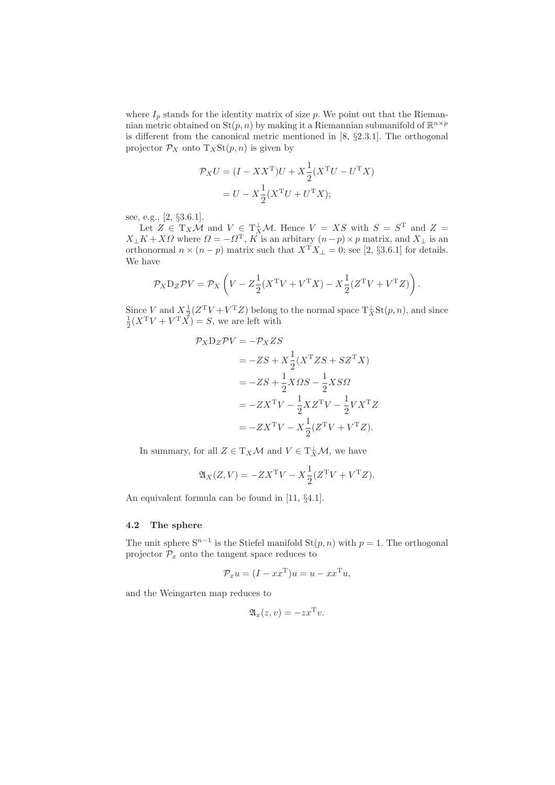where  $I_p$  stands for the identity matrix of size p. We point out that the Riemannian metric obtained on  $\text{St}(p, n)$  by making it a Riemannian submanifold of  $\mathbb{R}^{n \times p}$ is different from the canonical metric mentioned in [8, §2.3.1]. The orthogonal projector  $\mathcal{P}_X$  onto  $T_X\text{St}(p, n)$  is given by

$$
\mathcal{P}_X U = (I - XX^{\mathrm{T}})U + X \frac{1}{2} (X^{\mathrm{T}}U - U^{\mathrm{T}}X)
$$

$$
= U - X \frac{1}{2} (X^{\mathrm{T}}U + U^{\mathrm{T}}X);
$$

see, e.g., [2, §3.6.1].

Let  $Z \in T_X \mathcal{M}$  and  $V \in T_X^{\perp} \mathcal{M}$ . Hence  $V = NS$  with  $S = S^{\mathrm{T}}$  and  $Z =$  $X_{\perp}K + X\Omega$  where  $\Omega = -\Omega^{\rm T}$ ,  $K$  is an arbitary  $(n-p) \times p$  matrix, and  $X_{\perp}$  is an orthonormal  $n \times (n-p)$  matrix such that  $X^{\mathsf{T}} X_{\perp} = 0$ ; see [2, §3.6.1] for details. We have

$$
\mathcal{P}_X \mathcal{D}_Z \mathcal{P} V = \mathcal{P}_X \left( V - Z \frac{1}{2} (X^{\mathrm{T}} V + V^{\mathrm{T}} X) - X \frac{1}{2} (Z^{\mathrm{T}} V + V^{\mathrm{T}} Z) \right).
$$

Since V and  $X_{\frac{1}{2}}^{\frac{1}{2}}(Z^T V + V^T Z)$  belong to the normal space  $T_X^{\perp} \text{St}(p, n)$ , and since  $\frac{1}{2}(X^T V + V^T X) = S$ , we are left with

$$
\mathcal{P}_X \mathcal{D}_Z \mathcal{P} V = -\mathcal{P}_X Z S
$$
  
= -Z S + X \frac{1}{2} (X^{\mathcal{T}} Z S + S Z^{\mathcal{T}} X)  
= -Z S + \frac{1}{2} X \Omega S - \frac{1}{2} X S \Omega  
= -Z X^{\mathcal{T}} V - \frac{1}{2} X Z^{\mathcal{T}} V - \frac{1}{2} V X^{\mathcal{T}} Z  
= -Z X^{\mathcal{T}} V - X \frac{1}{2} (Z^{\mathcal{T}} V + V^{\mathcal{T}} Z).

In summary, for all  $Z \in T_X\mathcal{M}$  and  $V \in T_X^{\perp} \mathcal{M}$ , we have

$$
\mathfrak{A}_X(Z,V) = -ZX^{\mathrm{T}}V - X\frac{1}{2}(Z^{\mathrm{T}}V + V^{\mathrm{T}}Z).
$$

An equivalent formula can be found in [11, §4.1].

# 4.2 The sphere

The unit sphere  $S^{n-1}$  is the Stiefel manifold  $St(p, n)$  with  $p = 1$ . The orthogonal projector  $\mathcal{P}_x$  onto the tangent space reduces to

$$
\mathcal{P}_x u = (I - x x^{\mathrm{T}}) u = u - x x^{\mathrm{T}} u,
$$

and the Weingarten map reduces to

$$
\mathfrak{A}_x(z,v) = -zx^\mathrm{T} v.
$$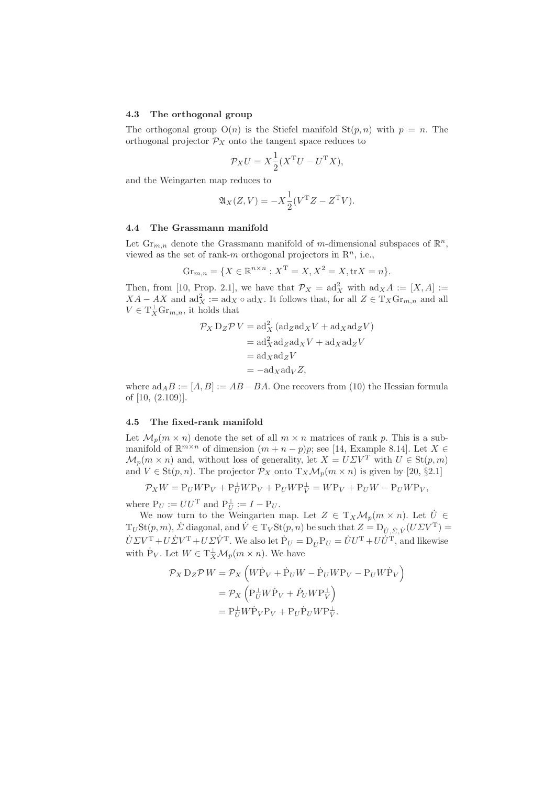#### 4.3 The orthogonal group

The orthogonal group  $O(n)$  is the Stiefel manifold  $St(p, n)$  with  $p = n$ . The orthogonal projector  $\mathcal{P}_X$  onto the tangent space reduces to

$$
\mathcal{P}_X U = X \frac{1}{2} (X^{\mathrm{T}} U - U^{\mathrm{T}} X),
$$

and the Weingarten map reduces to

$$
\mathfrak{A}_X(Z,V) = -X \frac{1}{2} (V^{\mathrm{T}} Z - Z^{\mathrm{T}} V).
$$

#### 4.4 The Grassmann manifold

Let  $\text{Gr}_{m,n}$  denote the Grassmann manifold of m-dimensional subspaces of  $\mathbb{R}^n$ , viewed as the set of rank-m orthogonal projectors in  $\mathbb{R}^n$ , i.e.,

$$
Gr_{m,n} = \{ X \in \mathbb{R}^{n \times n} : X^{\mathrm{T}} = X, X^2 = X, \text{tr} X = n \}.
$$

Then, from [10, Prop. 2.1], we have that  $\mathcal{P}_X = \text{ad}_X^2$  with  $\text{ad}_X A := [X, A] :=$  $XA - AX$  and  $ad_X^2 := ad_X \circ ad_X$ . It follows that, for all  $Z \in T_X\mathrm{Gr}_{m,n}$  and all  $V \in T_X^{\perp} \mathrm{Gr}_{m,n}$ , it holds that

$$
\mathcal{P}_X D_Z \mathcal{P} V = \mathrm{ad}_X^2 (\mathrm{ad}_Z \mathrm{ad}_X V + \mathrm{ad}_X \mathrm{ad}_Z V)
$$
  
=  $\mathrm{ad}_X^2 \mathrm{ad}_Z \mathrm{ad}_X V + \mathrm{ad}_X \mathrm{ad}_Z V$   
=  $\mathrm{ad}_X \mathrm{ad}_Z V$   
=  $-\mathrm{ad}_X \mathrm{ad}_V Z$ ,

where  $ad_A B := [A, B] := AB - BA$ . One recovers from (10) the Hessian formula of [10, (2.109)].

### 4.5 The fixed-rank manifold

Let  $\mathcal{M}_p(m \times n)$  denote the set of all  $m \times n$  matrices of rank p. This is a submanifold of  $\mathbb{R}^{m \times n}$  of dimension  $(m + n - p)p$ ; see [14, Example 8.14]. Let  $X \in$  $\mathcal{M}_p(m \times n)$  and, without loss of generality, let  $X = U \Sigma V^T$  with  $U \in \text{St}(p, m)$ and  $V \in St(p,n)$ . The projector  $\mathcal{P}_X$  onto  $T_X \mathcal{M}_p(m \times n)$  is given by [20, §2.1]

$$
\mathcal{P}_X W = \mathrm{P}_U W \mathrm{P}_V + \mathrm{P}_U^{\perp} W \mathrm{P}_V + \mathrm{P}_U W \mathrm{P}_V^{\perp} = W \mathrm{P}_V + \mathrm{P}_U W - \mathrm{P}_U W \mathrm{P}_V,
$$

where  $P_U := U U^{T}$  and  $P_U^{\perp} := I - P_U$ .

We now turn to the Weingarten map. Let  $Z \in T_X\mathcal{M}_p(m \times n)$ . Let  $\dot{U} \in$  $T_U St(p, m)$ ,  $\dot{\Sigma}$  diagonal, and  $\dot{V} \in T_V St(p, n)$  be such that  $Z = D_{\dot{U}, \dot{\Sigma}, \dot{V}} (U \Sigma V^T) =$  $\dot{U}\Sigma V^{\rm T}+U\dot{\Sigma}V^{\rm T}+U\Sigma\dot{V}^{\rm T}$ . We also let  $\dot{P}_U=D_{\dot{U}}P_U=\dot{U}U^{\rm T}+U\dot{U}^{\rm T}$ , and likewise with  $\dot{P}_V$ . Let  $W \in T_X^{\perp} \mathcal{M}_p(m \times n)$ . We have

$$
\mathcal{P}_X D_Z \mathcal{P} W = \mathcal{P}_X \left( W \dot{P}_V + \dot{P}_U W - \dot{P}_U W P_V - P_U W \dot{P}_V \right)
$$
  
= 
$$
\mathcal{P}_X \left( P_U^{\perp} W \dot{P}_V + \dot{P}_U W P_V^{\perp} \right)
$$
  
= 
$$
P_U^{\perp} W \dot{P}_V P_V + P_U \dot{P}_U W P_V^{\perp}.
$$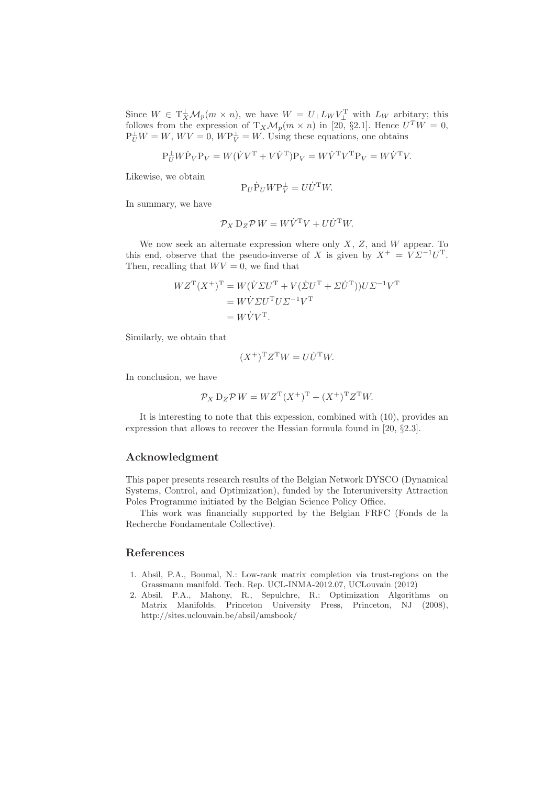Since  $W \in \mathrm{T}_{X}^{\perp} \mathcal{M}_{p}(m \times n)$ , we have  $W = U_{\perp} L_{W} V_{\perp}^{T}$  with  $L_{W}$  arbitary; this follows from the expression of  $T_X\mathcal{M}_p(m\times n)$  in [20, §2.1]. Hence  $U^TW=0$ ,  $P_U^{\perp} W = W$ ,  $W V = 0$ ,  $W P_V^{\perp} = W$ . Using these equations, one obtains

$$
\mathbf{P}_{U}^{\perp}W\dot{\mathbf{P}}_{V}\mathbf{P}_{V} = W(\dot{V}V^{\mathsf{T}}+V\dot{V}^{\mathsf{T}})\mathbf{P}_{V} = W\dot{V}^{\mathsf{T}}V^{\mathsf{T}}\mathbf{P}_{V} = W\dot{V}^{\mathsf{T}}V.
$$

Likewise, we obtain

$$
\mathbf{P}_U \dot{\mathbf{P}}_U W \mathbf{P}_V^\perp = U \dot{U}^\mathrm{T} W.
$$

In summary, we have

$$
\mathcal{P}_X \mathbf{D}_Z \mathcal{P} \, W = W \dot{V}^{\mathrm{T}} V + U \dot{U}^{\mathrm{T}} W.
$$

We now seek an alternate expression where only  $X$ ,  $Z$ , and  $W$  appear. To this end, observe that the pseudo-inverse of X is given by  $X^+ = V \Sigma^{-1} U^T$ . Then, recalling that  $WV = 0$ , we find that

$$
WZ^{T}(X^{+})^{T} = W(\dot{V}\Sigma U^{T} + V(\dot{\Sigma}U^{T} + \Sigma \dot{U}^{T}))U\Sigma^{-1}V^{T}
$$
  
= 
$$
W\dot{V}\Sigma U^{T}U\Sigma^{-1}V^{T}
$$
  
= 
$$
W\dot{V}V^{T}.
$$

Similarly, we obtain that

$$
(X^+)^{\mathrm{T}}Z^{\mathrm{T}}W = U\dot{U}^{\mathrm{T}}W.
$$

In conclusion, we have

$$
\mathcal{P}_X \mathbf{D}_Z \mathcal{P} \mathbf{W} = \mathbf{W} \mathbf{Z}^{\mathrm{T}} (\mathbf{X}^+)^{\mathrm{T}} + (\mathbf{X}^+)^{\mathrm{T}} \mathbf{Z}^{\mathrm{T}} \mathbf{W}.
$$

It is interesting to note that this expession, combined with (10), provides an expression that allows to recover the Hessian formula found in [20, §2.3].

## Acknowledgment

This paper presents research results of the Belgian Network DYSCO (Dynamical Systems, Control, and Optimization), funded by the Interuniversity Attraction Poles Programme initiated by the Belgian Science Policy Office.

This work was financially supported by the Belgian FRFC (Fonds de la Recherche Fondamentale Collective).

# References

- 1. Absil, P.A., Boumal, N.: Low-rank matrix completion via trust-regions on the Grassmann manifold. Tech. Rep. UCL-INMA-2012.07, UCLouvain (2012)
- 2. Absil, P.A., Mahony, R., Sepulchre, R.: Optimization Algorithms on Matrix Manifolds. Princeton University Press, Princeton, NJ (2008), http://sites.uclouvain.be/absil/amsbook/